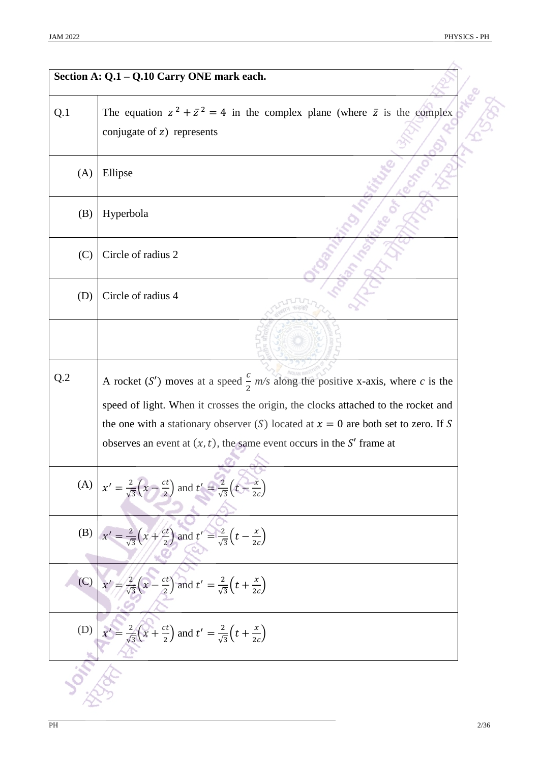| Section A: Q.1 - Q.10 Carry ONE mark each. |                                                                                                                                                                                                                                                       |
|--------------------------------------------|-------------------------------------------------------------------------------------------------------------------------------------------------------------------------------------------------------------------------------------------------------|
| Q.1                                        | The equation $z^2 + \overline{z}^2 = 4$ in the complex plane (where $\overline{z}$ is the complex<br>conjugate of $z$ ) represents                                                                                                                    |
| (A)                                        | Ellipse                                                                                                                                                                                                                                               |
| (B)                                        | Hyperbola                                                                                                                                                                                                                                             |
| (C)                                        | Circle of radius 2                                                                                                                                                                                                                                    |
| (D)                                        | Circle of radius 4                                                                                                                                                                                                                                    |
|                                            |                                                                                                                                                                                                                                                       |
| Q.2                                        | A rocket (S') moves at a speed $\frac{c}{2}$ m/s along the positive x-axis, where c is the                                                                                                                                                            |
|                                            | speed of light. When it crosses the origin, the clocks attached to the rocket and<br>the one with a stationary observer (S) located at $x = 0$ are both set to zero. If S<br>observes an event at $(x, t)$ , the same event occurs in the S' frame at |
|                                            | (A) $x' = \frac{2}{\sqrt{3}}(x - \frac{ct}{2})$ and $t' = \frac{2}{\sqrt{3}}(t - \frac{x}{2c})$                                                                                                                                                       |
| (B)                                        | $x' = \frac{2}{\sqrt{3}}\left(x + \frac{ct}{2}\right)$ and $t' = \frac{2}{\sqrt{3}}\left(t - \frac{x}{2c}\right)$                                                                                                                                     |
| (C)                                        | $x' = \frac{2}{\sqrt{3}}\left(x - \frac{ct}{2}\right)$ and $t' = \frac{2}{\sqrt{3}}\left(t + \frac{x}{2c}\right)$                                                                                                                                     |
| (D)                                        | $x' = \frac{2}{\sqrt{3}}(x + \frac{ct}{2})$ and $t' = \frac{2}{\sqrt{3}}(t + \frac{x}{2c})$                                                                                                                                                           |
|                                            |                                                                                                                                                                                                                                                       |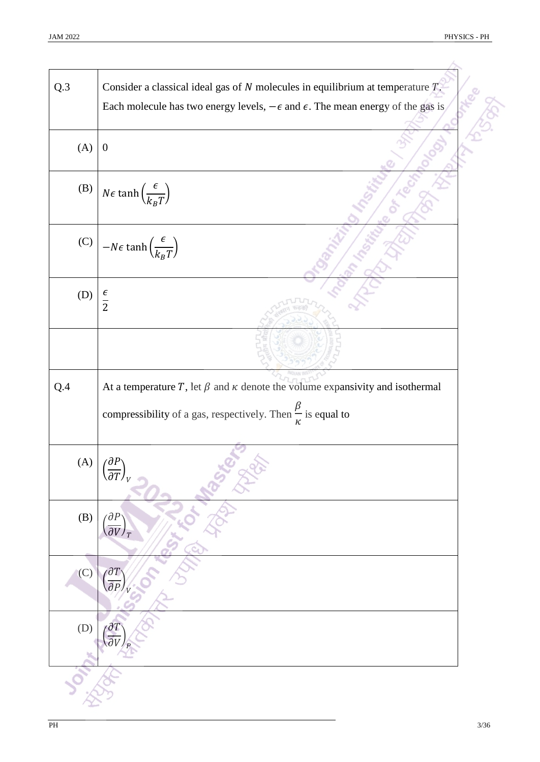| Q.3 | Consider a classical ideal gas of $N$ molecules in equilibrium at temperature $T$ .             |
|-----|-------------------------------------------------------------------------------------------------|
|     | Each molecule has two energy levels, $-\epsilon$ and $\epsilon$ . The mean energy of the gas is |
| (A) | $\boldsymbol{0}$                                                                                |
| (B) | $N\epsilon \tanh\left(\frac{\epsilon}{k_B T}\right)$                                            |
| (C) | $-N\epsilon \tanh\left(\frac{\epsilon}{k_B T}\right)$                                           |
| (D) | $\frac{\epsilon}{2}$                                                                            |
|     |                                                                                                 |
| Q.4 | At a temperature T, let $\beta$ and $\kappa$ denote the volume expansivity and isothermal       |
|     | compressibility of a gas, respectively. Then $\frac{\beta}{\kappa}$ is equal to                 |
| (A) | $\langle \partial P \rangle$<br>$\sqrt{\partial T}$                                             |
| (B) | $\partial P$<br>$\overline{\partial V}$                                                         |
| (C) | $\partial$ <sup>7</sup>                                                                         |
| (D) |                                                                                                 |
|     |                                                                                                 |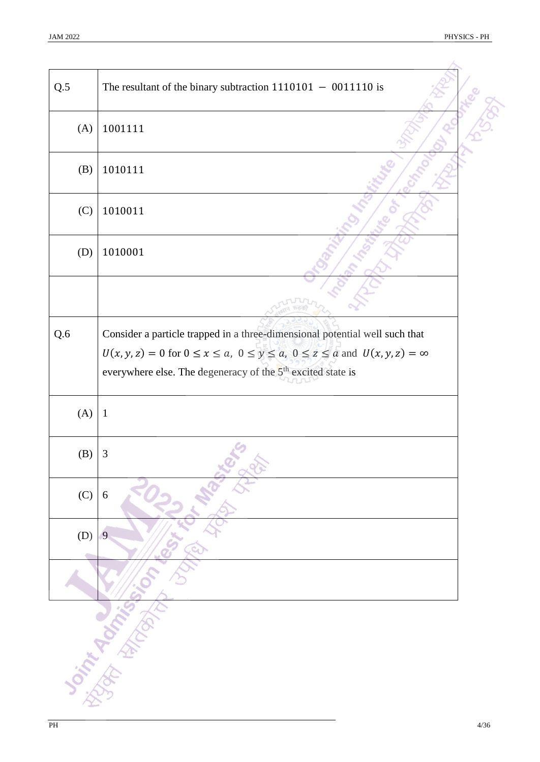| Q.5 | The resultant of the binary subtraction $1110101 - 0011110$ is                                     |  |
|-----|----------------------------------------------------------------------------------------------------|--|
| (A) | 1001111                                                                                            |  |
| (B) | 1010111                                                                                            |  |
| (C) | 1010011                                                                                            |  |
| (D) | 1010001                                                                                            |  |
|     |                                                                                                    |  |
| Q.6 | Consider a particle trapped in a three-dimensional potential well such that                        |  |
|     | $U(x, y, z) = 0$ for $0 \le x \le a$ , $0 \le y \le a$ , $0 \le z \le a$ and $U(x, y, z) = \infty$ |  |
|     | everywhere else. The degeneracy of the 5 <sup>th</sup> excited state is                            |  |
|     |                                                                                                    |  |
| (A) | $\mathbf{1}$                                                                                       |  |
| (B) | 3                                                                                                  |  |
| (C) | 6                                                                                                  |  |
| (D) | 9                                                                                                  |  |
|     |                                                                                                    |  |
|     | <b>Soint Rooming</b>                                                                               |  |
|     |                                                                                                    |  |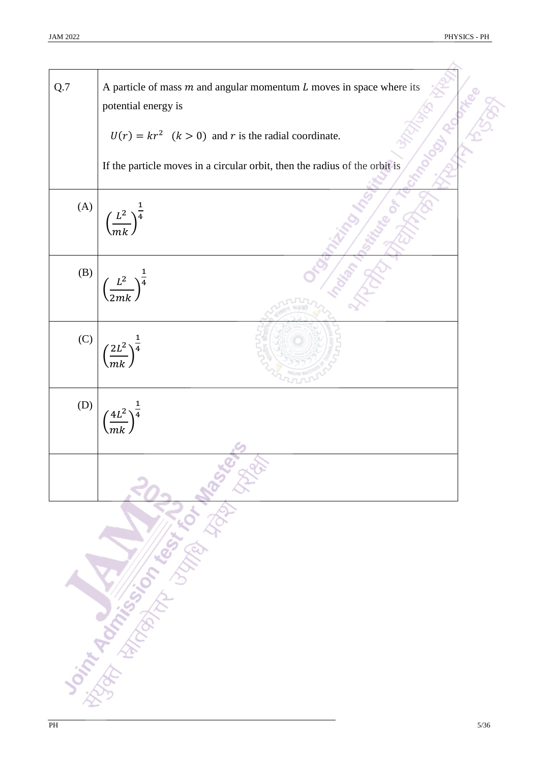| Q.7 | A particle of mass $m$ and angular momentum $L$ moves in space where its<br>potential energy is |  |
|-----|-------------------------------------------------------------------------------------------------|--|
|     | $U(r) = kr^2$ $(k > 0)$ and r is the radial coordinate.                                         |  |
|     | If the particle moves in a circular orbit, then the radius of the orbit is                      |  |
| (A) | $\left(\frac{L^2}{mk}\right)^{\frac{1}{4}}$                                                     |  |
| (B) | $\left(\frac{L^2}{2mk}\right)^{\frac{1}{4}}$                                                    |  |
| (C) | $\left(\frac{2L^2}{mk}\right)^{\frac{1}{4}}$                                                    |  |
| (D) | $\left( \frac{4L^2}{\pi} \right)^{\frac{1}{4}}$                                                 |  |
|     |                                                                                                 |  |
|     | <b>Script Rock of Concept Property Seconds</b>                                                  |  |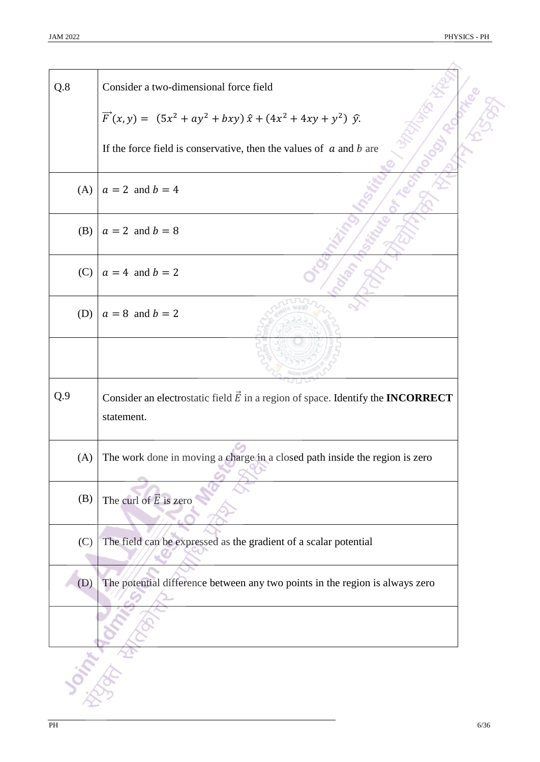| Q.8 | Consider a two-dimensional force field                                                                      |
|-----|-------------------------------------------------------------------------------------------------------------|
|     | $\vec{F}(x, y) = (5x^2 + ay^2 + bxy) \hat{x} + (4x^2 + 4xy + y^2) \hat{y}.$                                 |
|     | If the force field is conservative, then the values of $\alpha$ and $\beta$ are                             |
| (A) | $a = 2$ and $b = 4$                                                                                         |
| (B) | $a = 2$ and $b = 8$                                                                                         |
| (C) | $a = 4$ and $b = 2$                                                                                         |
| (D) | $a = 8$ and $b = 2$                                                                                         |
|     |                                                                                                             |
| Q.9 | Consider an electrostatic field $\vec{E}$ in a region of space. Identify the <b>INCORRECT</b><br>statement. |
| (A) | The work done in moving a charge in a closed path inside the region is zero                                 |
| (B) | The curl of $\vec{E}$ is zero                                                                               |
| (C) | The field can be expressed as the gradient of a scalar potential                                            |
| (D) | The potential difference between any two points in the region is always zero                                |
|     |                                                                                                             |
|     |                                                                                                             |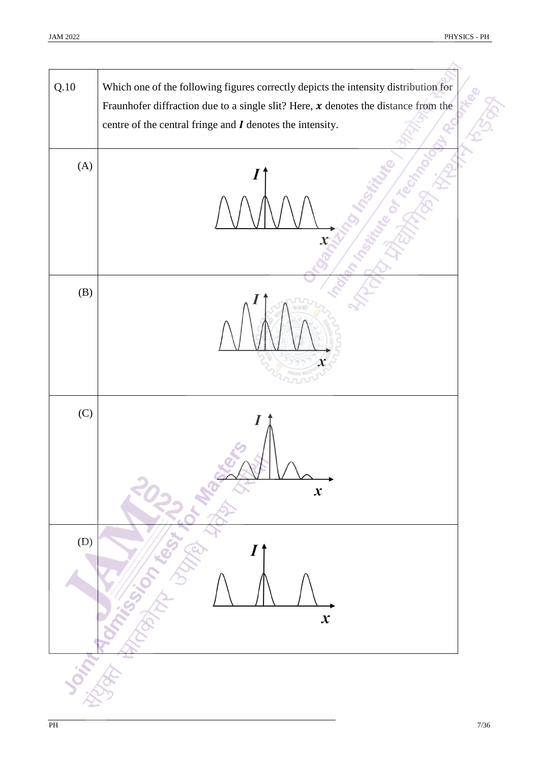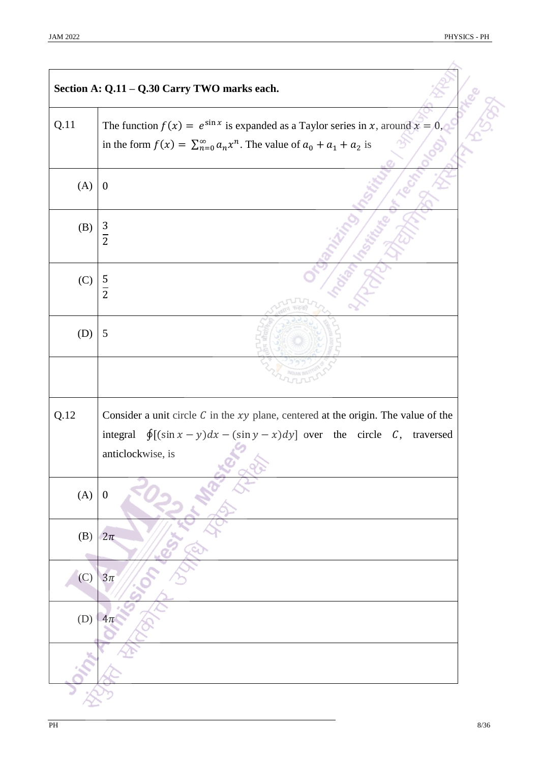|      | Section A: Q.11 - Q.30 Carry TWO marks each.                                                                                                                                                              |
|------|-----------------------------------------------------------------------------------------------------------------------------------------------------------------------------------------------------------|
| Q.11 | The function $f(x) = e^{\sin x}$ is expanded as a Taylor series in x, around $x = 0$ ,<br>in the form $f(x) = \sum_{n=0}^{\infty} a_n x^n$ . The value of $a_0 + a_1 + a_2$ is                            |
| (A)  | $\boldsymbol{0}$                                                                                                                                                                                          |
| (B)  | $rac{3}{2}$                                                                                                                                                                                               |
| (C)  | $rac{5}{2}$                                                                                                                                                                                               |
| (D)  | 5                                                                                                                                                                                                         |
|      |                                                                                                                                                                                                           |
| Q.12 | Consider a unit circle $C$ in the $xy$ plane, centered at the origin. The value of the<br>integral $\oint [(\sin x - y)dx - (\sin y - x)dy]$ over the circle <i>C</i> ,<br>traversed<br>anticlockwise, is |
| (A)  | $\boldsymbol{0}$                                                                                                                                                                                          |
| (B)  | $2\pi$                                                                                                                                                                                                    |
| (C)  | $3\pi$                                                                                                                                                                                                    |
| (D)  | $4\pi$                                                                                                                                                                                                    |
|      |                                                                                                                                                                                                           |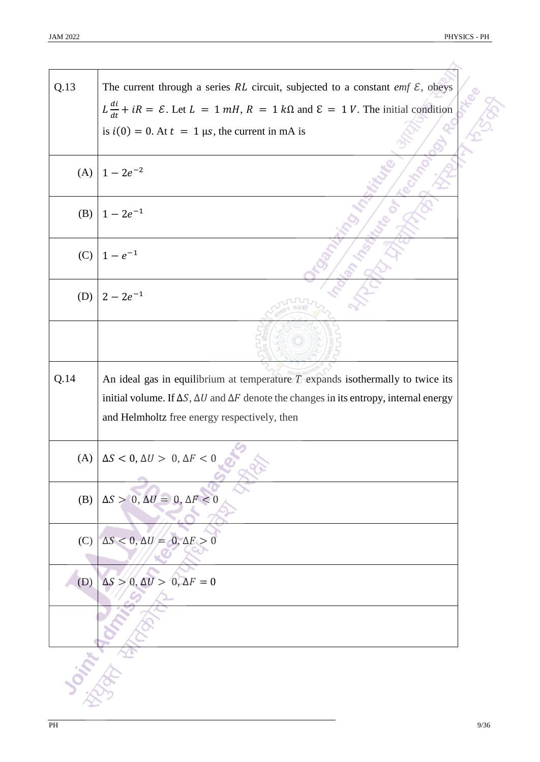| Q.13 | The current through a series RL circuit, subjected to a constant emf $\mathcal{E}$ , obeys                                                                                                                                                       |
|------|--------------------------------------------------------------------------------------------------------------------------------------------------------------------------------------------------------------------------------------------------|
|      | $L \frac{di}{dt} + iR = \mathcal{E}$ . Let $L = 1$ mH, $R = 1$ k $\Omega$ and $\mathcal{E} = 1$ V. The initial condition                                                                                                                         |
|      | is $i(0) = 0$ . At $t = 1$ µs, the current in mA is                                                                                                                                                                                              |
| (A)  | $1 - 2e^{-2}$                                                                                                                                                                                                                                    |
| (B)  | $1 - 2e^{-1}$                                                                                                                                                                                                                                    |
| (C)  | $1 - e^{-1}$                                                                                                                                                                                                                                     |
| (D)  | $2 - 2e^{-1}$                                                                                                                                                                                                                                    |
|      |                                                                                                                                                                                                                                                  |
| Q.14 | An ideal gas in equilibrium at temperature $T$ expands isothermally to twice its<br>initial volume. If $\Delta S$ , $\Delta U$ and $\Delta F$ denote the changes in its entropy, internal energy<br>and Helmholtz free energy respectively, then |
|      | (A) $\Delta S < 0$ , $\Delta U > 0$ , $\Delta F < 0$                                                                                                                                                                                             |
| (B)  | $\Delta S > 0, \Delta U = 0, \Delta F < 0$                                                                                                                                                                                                       |
| (C)  | $\Delta S < 0, \Delta U = 0, \Delta F >$                                                                                                                                                                                                         |
| (D)  | $\Delta S > 0, \Delta U > 0, \Delta F = 0$                                                                                                                                                                                                       |
|      |                                                                                                                                                                                                                                                  |
|      |                                                                                                                                                                                                                                                  |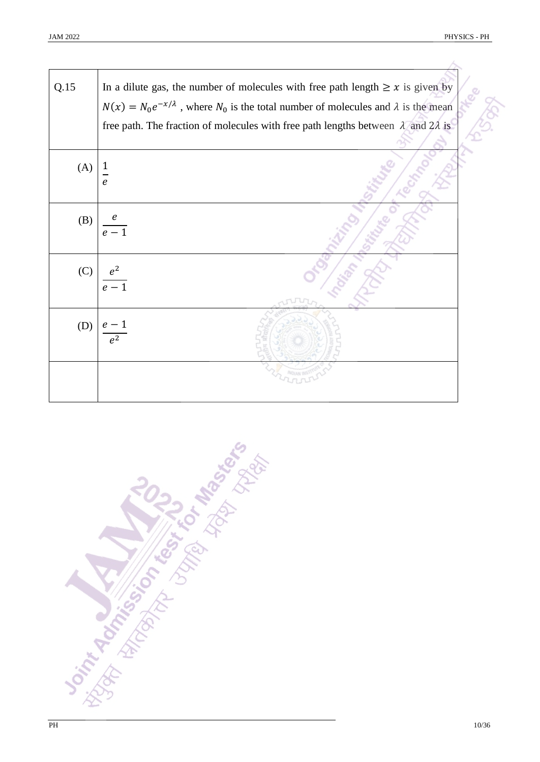| Q.15 | In a dilute gas, the number of molecules with free path length $\geq x$ is given by                  |
|------|------------------------------------------------------------------------------------------------------|
|      | $N(x) = N_0 e^{-x/\lambda}$ , where $N_0$ is the total number of molecules and $\lambda$ is the mean |
|      | free path. The fraction of molecules with free path lengths between $\lambda$ and $2\lambda$ is      |
| (A)  | $\frac{1}{1}$<br>$\mathbf{e}$                                                                        |
| (B)  | $\boldsymbol{\varrho}$<br>$\overline{e-1}$                                                           |
| (C)  | $e^2$<br>$\overline{e-1}$                                                                            |
| (D)  | $\rho^2$                                                                                             |
|      |                                                                                                      |

**Sight Rock of Concept Libraries**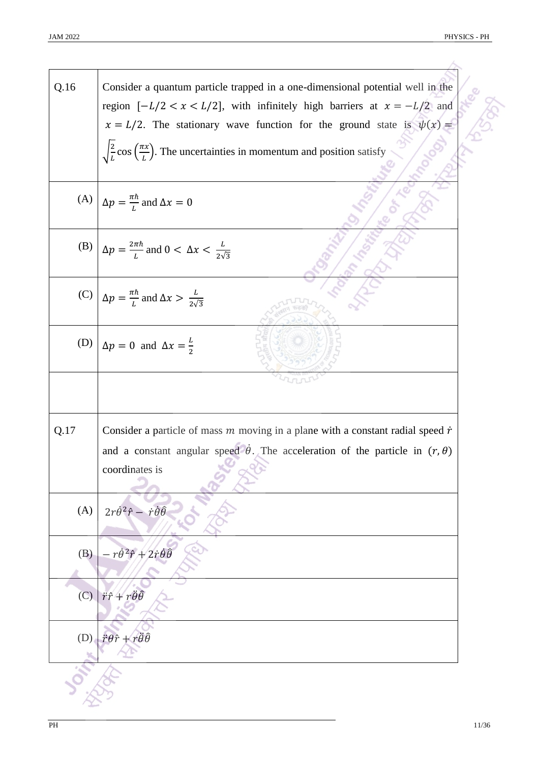| Q.16 | Consider a quantum particle trapped in a one-dimensional potential well in the                               |
|------|--------------------------------------------------------------------------------------------------------------|
|      | region $[-L/2 < x < L/2]$ , with infinitely high barriers at $x = -L/2$ and                                  |
|      | $x = L/2$ . The stationary wave function for the ground state is $\psi(x) =$                                 |
|      | $\sqrt{\frac{2}{L}}$ cos $\left(\frac{\pi x}{L}\right)$ . The uncertainties in momentum and position satisfy |
|      |                                                                                                              |
|      | (A) $\Delta p = \frac{\pi \hbar}{l}$ and $\Delta x = 0$                                                      |
|      | (B) $\Delta p = \frac{2\pi\hbar}{L}$ and $0 < \Delta x < \frac{L}{2\sqrt{3}}$                                |
|      | (C) $\Delta p = \frac{\pi \hbar}{l}$ and $\Delta x > \frac{L}{2\sqrt{3}}$                                    |
|      | (D) $\Delta p = 0$ and $\Delta x = \frac{L}{2}$                                                              |
|      |                                                                                                              |
|      |                                                                                                              |
| Q.17 | Consider a particle of mass $m$ moving in a plane with a constant radial speed $\dot{r}$                     |
|      | and a constant angular speed $\dot{\theta}$ . The acceleration of the particle in $(r, \theta)$              |
|      | coordinates is                                                                                               |
|      |                                                                                                              |
| (A)  | $2r\dot{\theta}^2\hat{r} - \dot{r}\dot{\theta}\hat{\theta}$                                                  |
|      | $-r\dot{\theta}^2\hat{r}+2\dot{r}\dot{\theta}\hat{\theta}$                                                   |
| (B)  |                                                                                                              |
|      |                                                                                                              |
| (C)  | $\ddot{r}\hat{r}+r\ddot{\theta}\hat{\theta}$                                                                 |
|      |                                                                                                              |
| (D)  | $\ddot{r}\theta\hat{r}+r\ddot{\theta}\hat{\theta}$                                                           |
|      |                                                                                                              |
|      |                                                                                                              |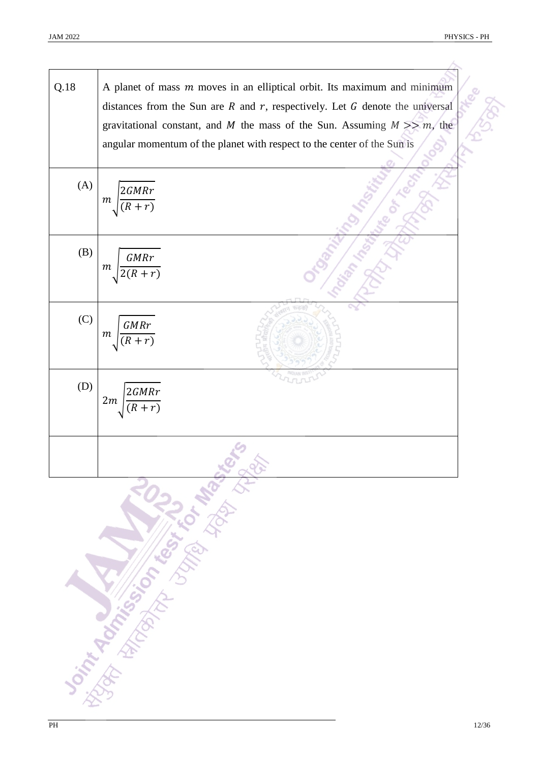×

| Q.18     | A planet of mass $m$ moves in an elliptical orbit. Its maximum and minimum                                                                                         |
|----------|--------------------------------------------------------------------------------------------------------------------------------------------------------------------|
|          | distances from the Sun are $R$ and $r$ , respectively. Let $G$ denote the universal<br>gravitational constant, and M the mass of the Sun. Assuming $M \gg m$ , the |
|          | angular momentum of the planet with respect to the center of the Sun is                                                                                            |
| (A)      | 2GMRr<br>$\boldsymbol{m}$                                                                                                                                          |
| (B)      | <b>GMRr</b><br>$\,m$                                                                                                                                               |
| (C)      | $\emph{GMRr}$<br>$\,m$                                                                                                                                             |
| (D)      | 2GMRr<br>2m                                                                                                                                                        |
|          |                                                                                                                                                                    |
|          | <b>Sorting American Manufacturer Rights</b>                                                                                                                        |
| $\rm PH$ |                                                                                                                                                                    |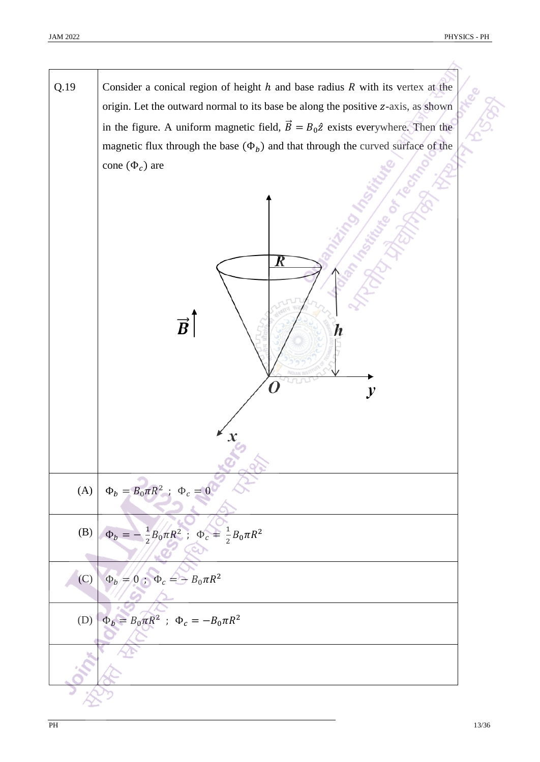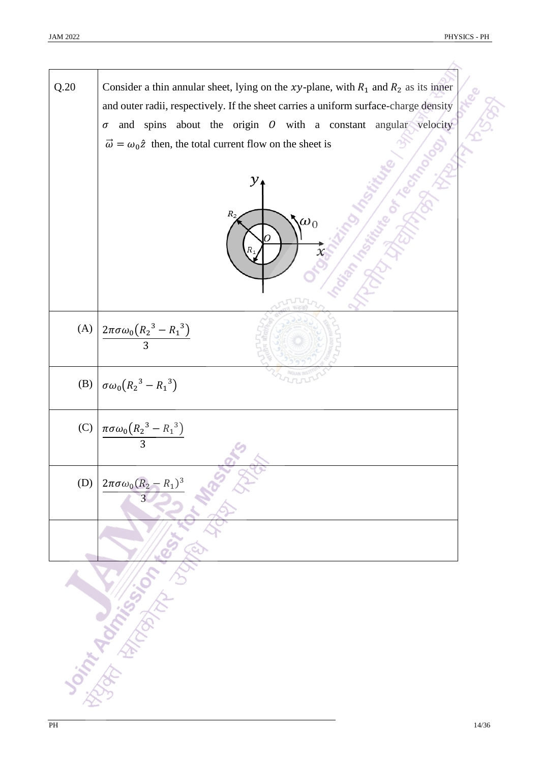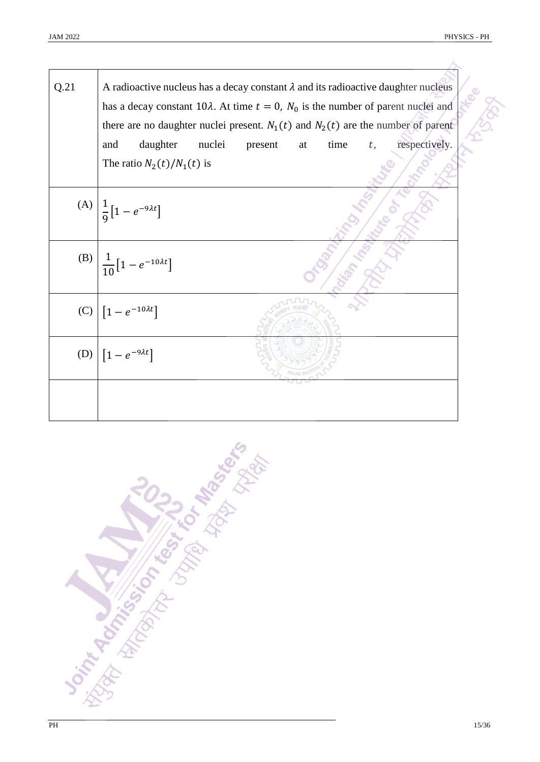| Q.21 | A radioactive nucleus has a decay constant $\lambda$ and its radioactive daughter nucleus<br>has a decay constant 10 $\lambda$ . At time $t = 0$ , $N_0$ is the number of parent nuclei and<br>there are no daughter nuclei present. $N_1(t)$ and $N_2(t)$ are the number of parent |  |  |
|------|-------------------------------------------------------------------------------------------------------------------------------------------------------------------------------------------------------------------------------------------------------------------------------------|--|--|
|      | daughter<br>nuclei<br>respectively.<br>time<br>and<br>present<br>at<br>t,                                                                                                                                                                                                           |  |  |
|      | The ratio $N_2(t)/N_1(t)$ is                                                                                                                                                                                                                                                        |  |  |
|      | (A) $\left  \frac{1}{9} \right[ 1 - e^{-9\lambda t} \right]$                                                                                                                                                                                                                        |  |  |
| (B)  | $\frac{1}{10}\left[1-e^{-10\lambda t}\right]$                                                                                                                                                                                                                                       |  |  |
| (C)  | $\left[1 - e^{-10\lambda t}\right]$                                                                                                                                                                                                                                                 |  |  |
| (D)  | $\left[1-e^{-9\lambda t}\right]$                                                                                                                                                                                                                                                    |  |  |
|      |                                                                                                                                                                                                                                                                                     |  |  |

**Sight Rock of Changes of Manufactures**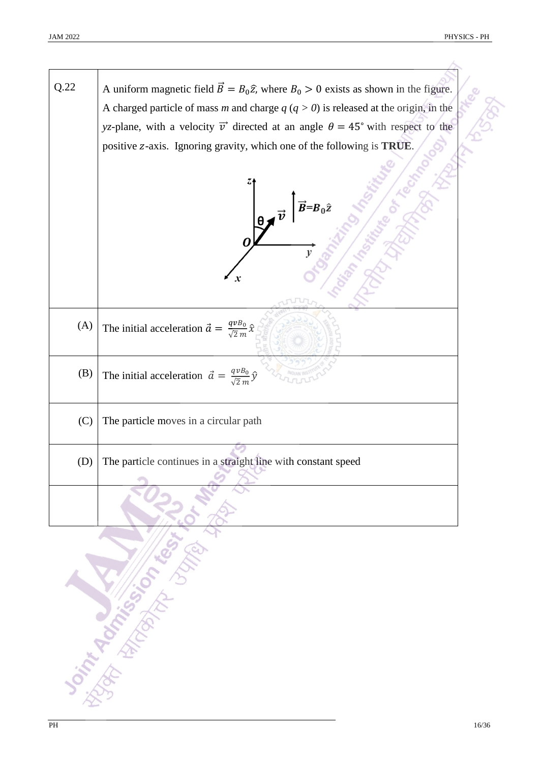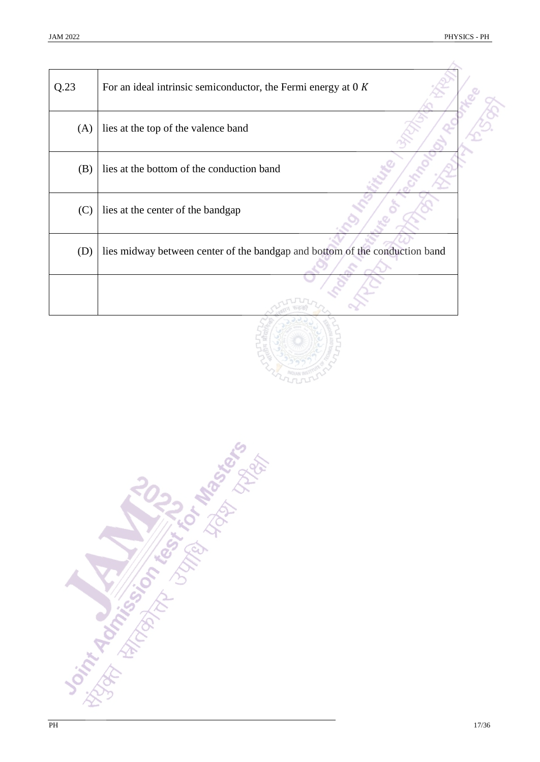$\lambda$ 

| Q.23 | For an ideal intrinsic semiconductor, the Fermi energy at $0 K$             |  |
|------|-----------------------------------------------------------------------------|--|
| (A)  | lies at the top of the valence band                                         |  |
| (B)  | lies at the bottom of the conduction band                                   |  |
| (C)  | lies at the center of the bandgap                                           |  |
| (D)  | lies midway between center of the bandgap and bottom of the conduction band |  |
|      |                                                                             |  |



**Distribution of the Strategies of the Strategies**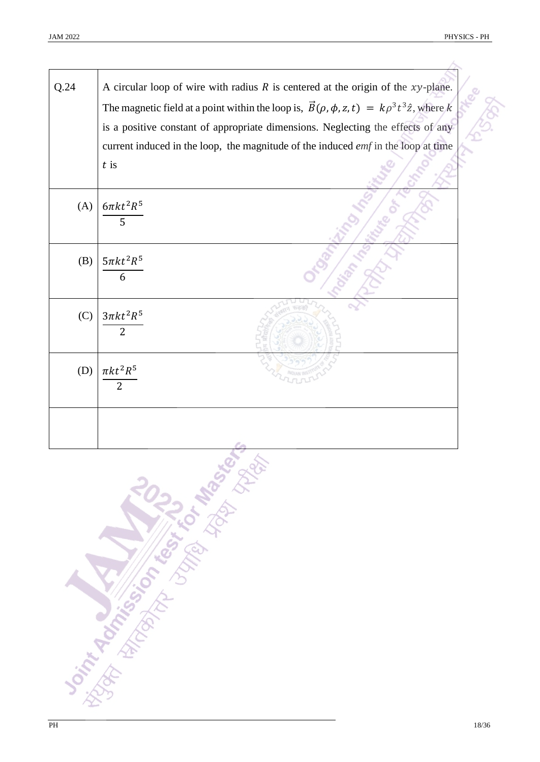人

| Q.24 | A circular loop of wire with radius $R$ is centered at the origin of the $xy$ -plane.<br>The magnetic field at a point within the loop is, $\vec{B}(\rho, \phi, z, t) = k\rho^3 t^3 \hat{z}$ , where k<br>is a positive constant of appropriate dimensions. Neglecting the effects of any |
|------|-------------------------------------------------------------------------------------------------------------------------------------------------------------------------------------------------------------------------------------------------------------------------------------------|
|      | current induced in the loop, the magnitude of the induced <i>emf</i> in the loop at time<br>$t$ is                                                                                                                                                                                        |
|      |                                                                                                                                                                                                                                                                                           |
| (A)  | $6\pi kt^2R^5$<br>5                                                                                                                                                                                                                                                                       |
| (B)  | $5\pi kt^2R^5$<br>6                                                                                                                                                                                                                                                                       |
| (C)  | $3\pi kt^2R^5$<br>$\overline{2}$                                                                                                                                                                                                                                                          |
| (D)  | $\pi kt^2R^5$<br>$\overline{2}$                                                                                                                                                                                                                                                           |
|      | F.a.                                                                                                                                                                                                                                                                                      |

**THACK SIDE OF THE ROAD TO BOOK AS**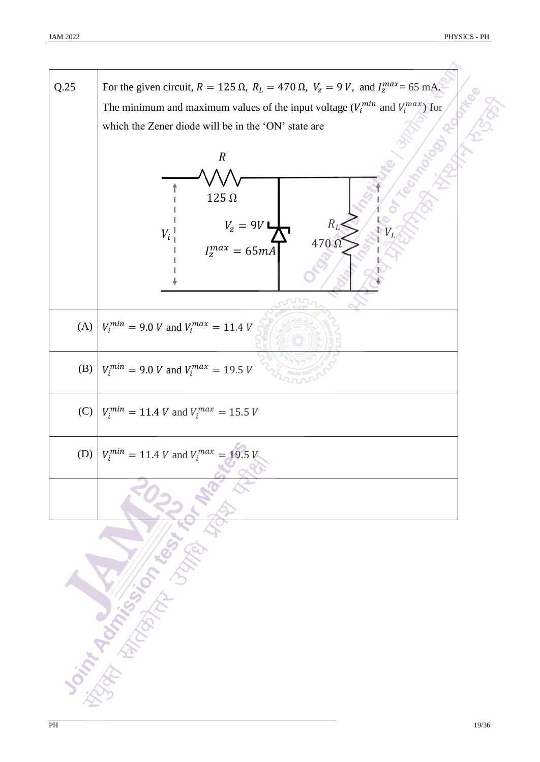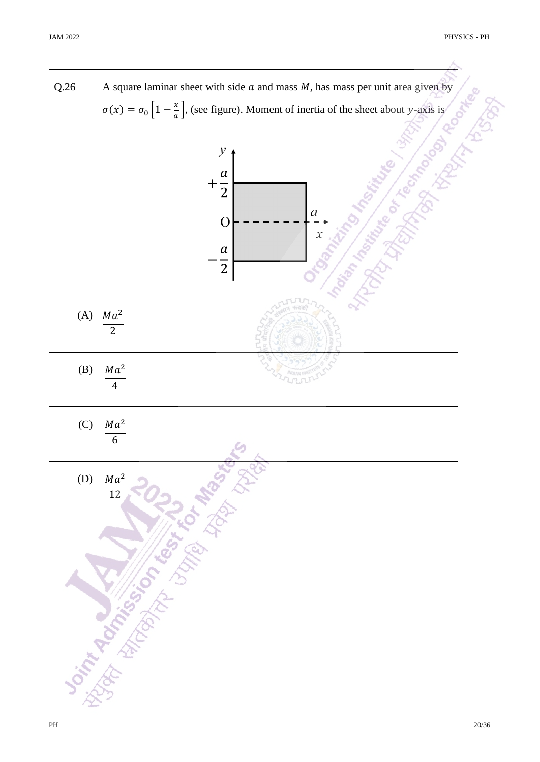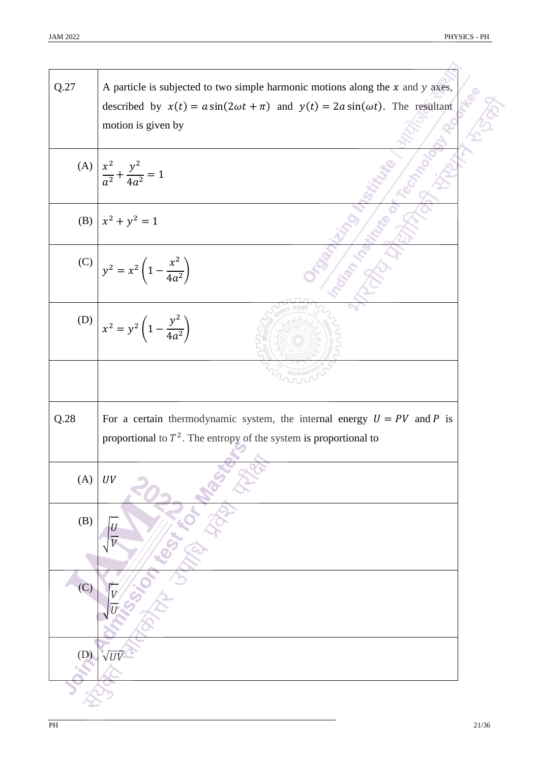| Q.27 | A particle is subjected to two simple harmonic motions along the $x$ and $y$ axes,<br>described by $x(t) = a \sin(2\omega t + \pi)$ and $y(t) = 2a \sin(\omega t)$ . The resultant |
|------|------------------------------------------------------------------------------------------------------------------------------------------------------------------------------------|
|      | motion is given by                                                                                                                                                                 |
|      | (A) $\left  \frac{x^2}{a^2} + \frac{y^2}{4a^2} \right  = 1$                                                                                                                        |
| (B)  | $x^2 + y^2 = 1$                                                                                                                                                                    |
|      | (C) $y^2 = x^2 \left(1 - \frac{x^2}{4a^2}\right)$                                                                                                                                  |
|      | (D) $x^2 = y^2 \left(1 - \frac{y^2}{4a^2}\right)$                                                                                                                                  |
|      |                                                                                                                                                                                    |
| Q.28 | For a certain thermodynamic system, the internal energy $U = PV$ and P is<br>proportional to $T^2$ . The entropy of the system is proportional to                                  |
| (A)  | UV                                                                                                                                                                                 |
| (B)  |                                                                                                                                                                                    |
| (C)  |                                                                                                                                                                                    |
|      |                                                                                                                                                                                    |
| (D)  |                                                                                                                                                                                    |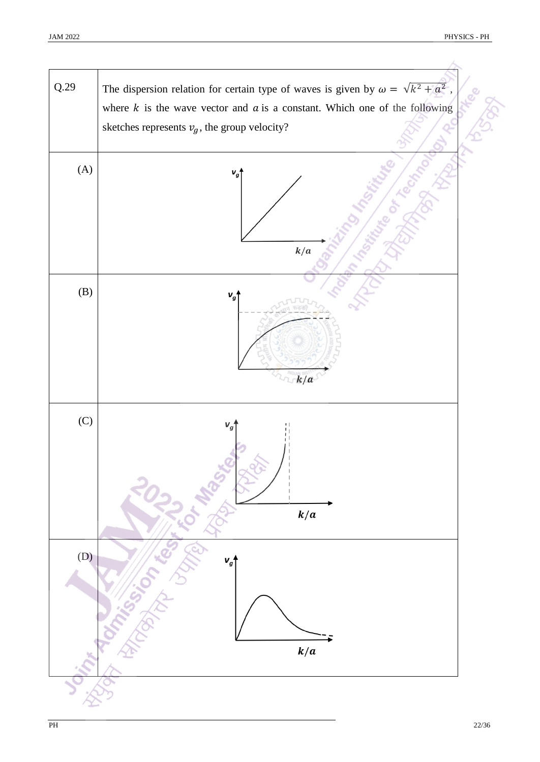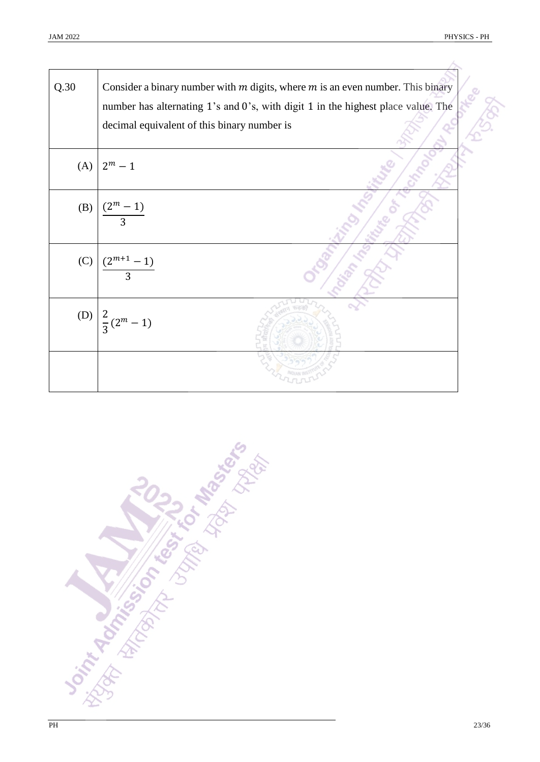A,

| Q.30 | Consider a binary number with $m$ digits, where $m$ is an even number. This binary<br>number has alternating 1's and 0's, with digit 1 in the highest place value. The<br>decimal equivalent of this binary number is |
|------|-----------------------------------------------------------------------------------------------------------------------------------------------------------------------------------------------------------------------|
| (A)  | $2^m - 1$                                                                                                                                                                                                             |
| (B)  | $(2^m - 1)$<br>$\overline{3}$                                                                                                                                                                                         |
| (C)  | $(2^{m+1}-1)$<br>$\overline{3}$                                                                                                                                                                                       |
|      | (D) $\frac{2}{3}(2^m-1)$                                                                                                                                                                                              |
|      |                                                                                                                                                                                                                       |

**Don't Agency Manufacturers of the Science of the Contractor Science of the Contractor Science of the Contractor**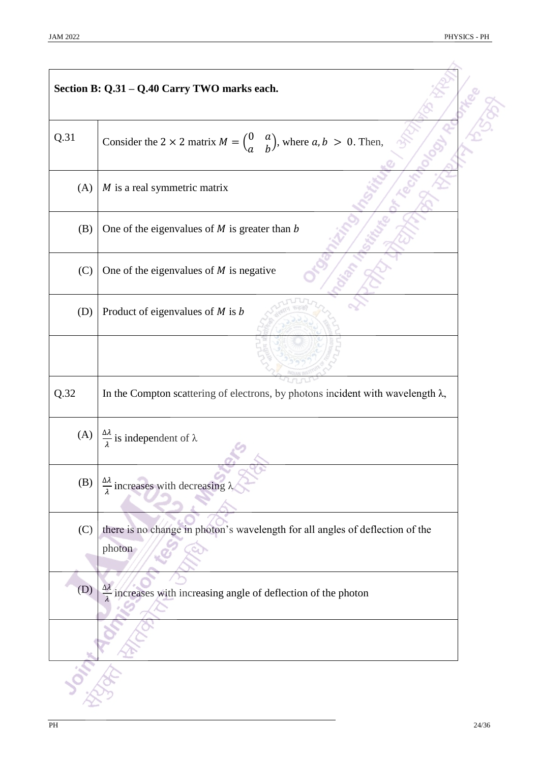|      | Section B: Q.31 - Q.40 Carry TWO marks each.                                                            |  |
|------|---------------------------------------------------------------------------------------------------------|--|
| Q.31 | Consider the 2 × 2 matrix $M = \begin{pmatrix} 0 & a \\ a & b \end{pmatrix}$ , where $a, b > 0$ . Then, |  |
| (A)  | $M$ is a real symmetric matrix                                                                          |  |
| (B)  | One of the eigenvalues of $M$ is greater than $b$                                                       |  |
| (C)  | One of the eigenvalues of $M$ is negative                                                               |  |
| (D)  | Product of eigenvalues of $M$ is $b$                                                                    |  |
|      |                                                                                                         |  |
| Q.32 | In the Compton scattering of electrons, by photons incident with wavelength $\lambda$ ,                 |  |
| (A)  | $\frac{\Delta \lambda}{\lambda}$ is independent of $\lambda$                                            |  |
| (B)  | $\frac{\Delta \lambda}{\lambda}$ increases with decreasing $\lambda$                                    |  |
| (C)  | there is no change in photon's wavelength for all angles of deflection of the<br>photon                 |  |
| (D)  | $\frac{\Delta \lambda}{\lambda}$ increases with increasing angle of deflection of the photon            |  |
|      |                                                                                                         |  |
|      |                                                                                                         |  |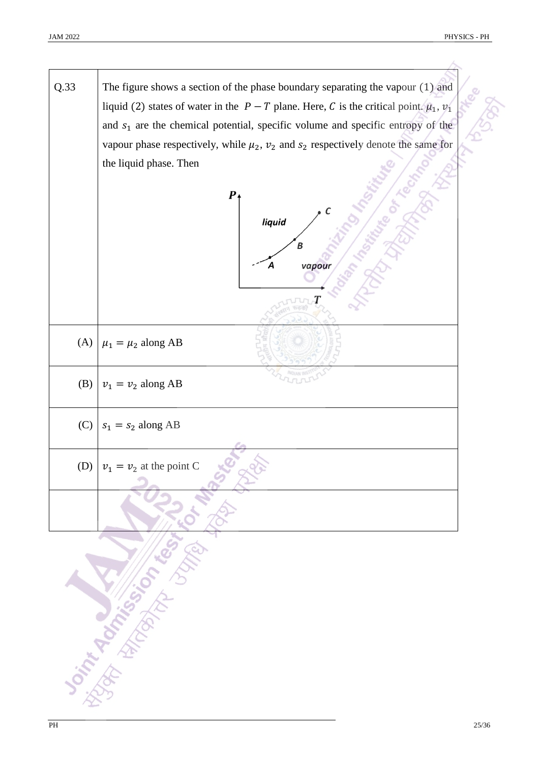Q.33 The figure shows a section of the phase boundary separating the vapour (1) and liquid (2) states of water in the  $P - T$  plane. Here, C is the critical point.  $\mu_1$ ,  $\nu_1$ and  $s<sub>1</sub>$  are the chemical potential, specific volume and specific entropy of the vapour phase respectively, while  $\mu_2$ ,  $\nu_2$  and  $s_2$  respectively denote the same for the liquid phase. Then  $\boldsymbol{P}$ liquid  $\overline{B}$ vapour A T (A)  $\mu_1 = \mu_2$  along AB (B)  $v_1 = v_2$  along AB (C)  $s_1 = s_2$  along AB (D)  $v_1 = v_2$  at the point C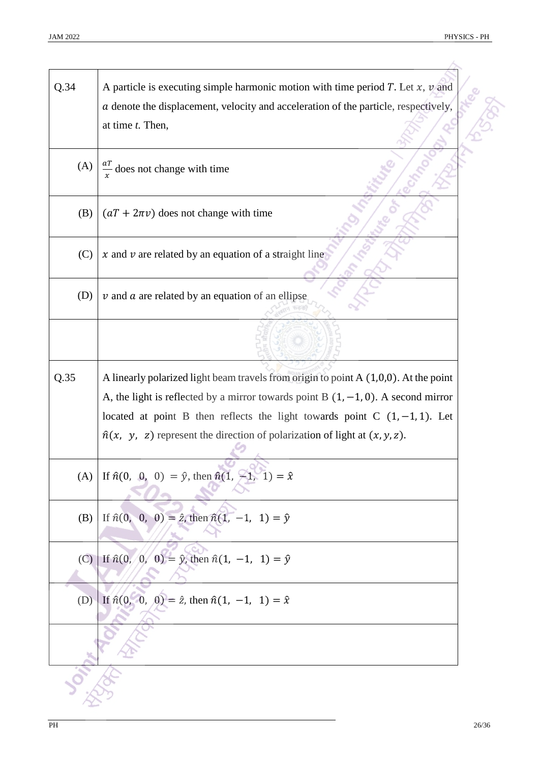$\land$ 

| Q.34 | A particle is executing simple harmonic motion with time period $T$ . Let $x$ , $v$ and<br>$a$ denote the displacement, velocity and acceleration of the particle, respectively,<br>at time t. Then,                                                                                                                                                  |  |
|------|-------------------------------------------------------------------------------------------------------------------------------------------------------------------------------------------------------------------------------------------------------------------------------------------------------------------------------------------------------|--|
| (A)  | $\frac{aT}{x}$ does not change with time                                                                                                                                                                                                                                                                                                              |  |
| (B)  | $(aT + 2\pi v)$ does not change with time                                                                                                                                                                                                                                                                                                             |  |
| (C)  | $x$ and $v$ are related by an equation of a straight line                                                                                                                                                                                                                                                                                             |  |
| (D)  | $v$ and $a$ are related by an equation of an ellipse                                                                                                                                                                                                                                                                                                  |  |
|      |                                                                                                                                                                                                                                                                                                                                                       |  |
| Q.35 | A linearly polarized light beam travels from origin to point A (1,0,0). At the point<br>A, the light is reflected by a mirror towards point B $(1, -1, 0)$ . A second mirror<br>located at point B then reflects the light towards point C $(1, -1, 1)$ . Let<br>$\hat{n}(x, y, z)$ represent the direction of polarization of light at $(x, y, z)$ . |  |
|      | (A) If $\hat{n}(0, 0, 0) = \hat{y}$ , then $\hat{n}(1, 0)$<br>$-1, 1) = \hat{x}$                                                                                                                                                                                                                                                                      |  |
| (B)  | If $\hat{n}(0, 0, 0) = \hat{z}$ , then $\hat{n}(1, -1, 1) = \hat{y}$                                                                                                                                                                                                                                                                                  |  |
| (C)  | If $\hat{n}(0, 0, 0) = \hat{y}$ , then $\hat{n}(1, -1, 1) = \hat{y}$                                                                                                                                                                                                                                                                                  |  |
| (D)  | If $\hat{n}(0, 0, 0) = \hat{z}$ , then $\hat{n}(1, -1, 1) = \hat{x}$                                                                                                                                                                                                                                                                                  |  |
|      |                                                                                                                                                                                                                                                                                                                                                       |  |
|      |                                                                                                                                                                                                                                                                                                                                                       |  |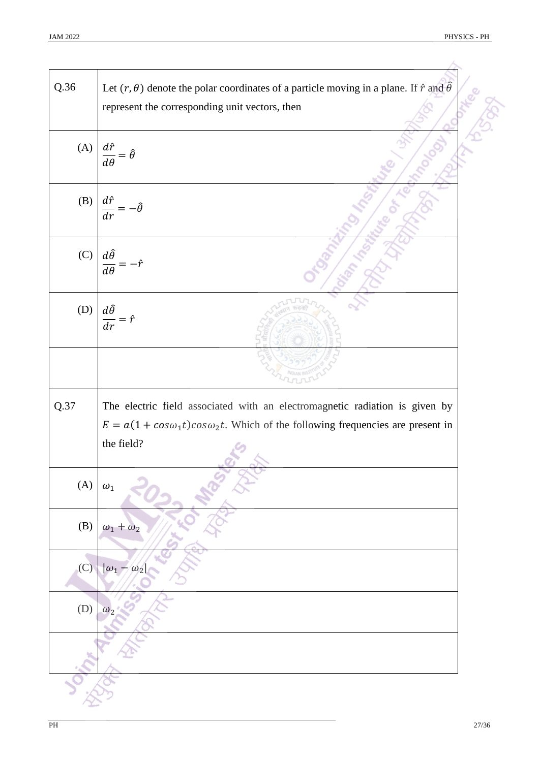| Q.36 | Let $(r, \theta)$ denote the polar coordinates of a particle moving in a plane. If $\hat{r}$ and $\hat{\theta}$<br>represent the corresponding unit vectors, then                        |
|------|------------------------------------------------------------------------------------------------------------------------------------------------------------------------------------------|
| (A)  | $\frac{d\hat{r}}{d\theta} = \hat{\theta}$                                                                                                                                                |
| (B)  | $\frac{d\hat{r}}{dr}=-\hat{\theta}$                                                                                                                                                      |
| (C)  | $\frac{d\hat{\theta}}{d\theta}$                                                                                                                                                          |
| (D)  | $\frac{d\hat{\theta}}{dr} = \hat{r}$                                                                                                                                                     |
|      |                                                                                                                                                                                          |
| Q.37 | The electric field associated with an electromagnetic radiation is given by<br>$E = a(1 + cos\omega_1 t)cos\omega_2 t$ . Which of the following frequencies are present in<br>the field? |
| (A)  | $\omega_1$                                                                                                                                                                               |
| (B)  | $\omega_1 + \omega_2$                                                                                                                                                                    |
| (C)  | $ \omega_1 -$<br>$\omega$                                                                                                                                                                |
| (D)  | $\omega_2$                                                                                                                                                                               |
|      |                                                                                                                                                                                          |
|      |                                                                                                                                                                                          |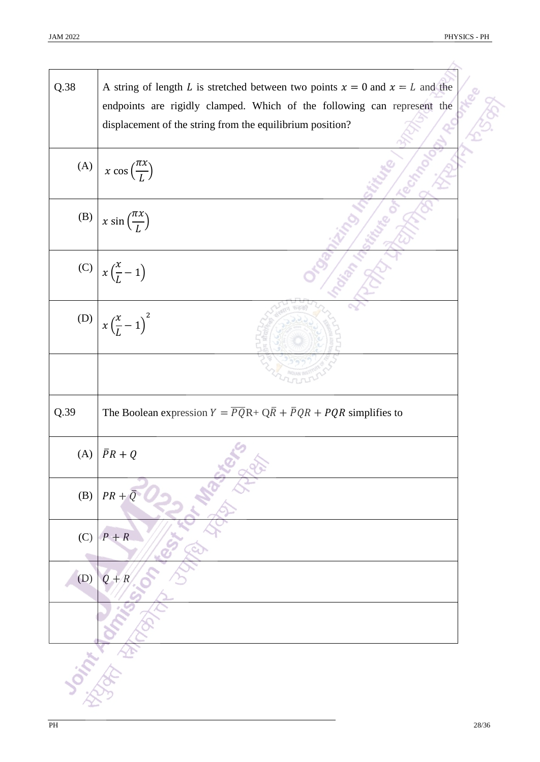| Q.38 | A string of length L is stretched between two points $x = 0$ and $x = L$ and the<br>endpoints are rigidly clamped. Which of the following can represent the |  |
|------|-------------------------------------------------------------------------------------------------------------------------------------------------------------|--|
|      | displacement of the string from the equilibrium position?                                                                                                   |  |
|      |                                                                                                                                                             |  |
| (A)  | $x \cos \left(\frac{\pi x}{L}\right)$                                                                                                                       |  |
| (B)  | $x \sin \left(\frac{\pi x}{L}\right)$                                                                                                                       |  |
|      | (C) $x\left(\frac{x}{L}-1\right)$                                                                                                                           |  |
|      | (D) $x(\frac{x}{L} - 1)^2$                                                                                                                                  |  |
|      |                                                                                                                                                             |  |
| Q.39 | The Boolean expression $Y = \overline{PQ}R + Q\overline{R} + \overline{P}QR + PQR$ simplifies to                                                            |  |
| (A)  | $\bar{P}R+Q$                                                                                                                                                |  |
| (B)  | $PR + \overline{Q}$                                                                                                                                         |  |
| (C)  | $P + R$                                                                                                                                                     |  |
| (D)  | $Q + R$                                                                                                                                                     |  |
|      |                                                                                                                                                             |  |
|      |                                                                                                                                                             |  |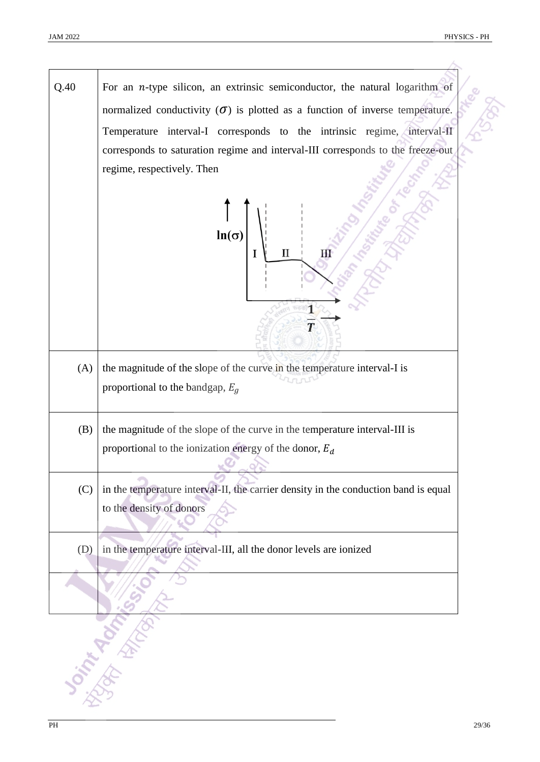$Q.40$  For an *n*-type silicon, an extrinsic semiconductor, the natural logarithm of normalized conductivity  $(\sigma)$  is plotted as a function of inverse temperature. Temperature interval-I corresponds to the intrinsic regime, interval-II corresponds to saturation regime and interval-III corresponds to the freeze-out regime, respectively. Then  $\ln(\sigma)$  $\overline{I}$  $\mathbf H$ Ш  $\overline{\mathbf{1}}$ T  $(A)$  the magnitude of the slope of the curve in the temperature interval-I is proportional to the bandgap,  $E<sub>q</sub>$  $(B)$  the magnitude of the slope of the curve in the temperature interval-III is proportional to the ionization energy of the donor,  $E_d$  $\infty$  $(C)$  in the temperature interval-II, the carrier density in the conduction band is equal to the density of donors (D) in the temperature interval-III, all the donor levels are ionized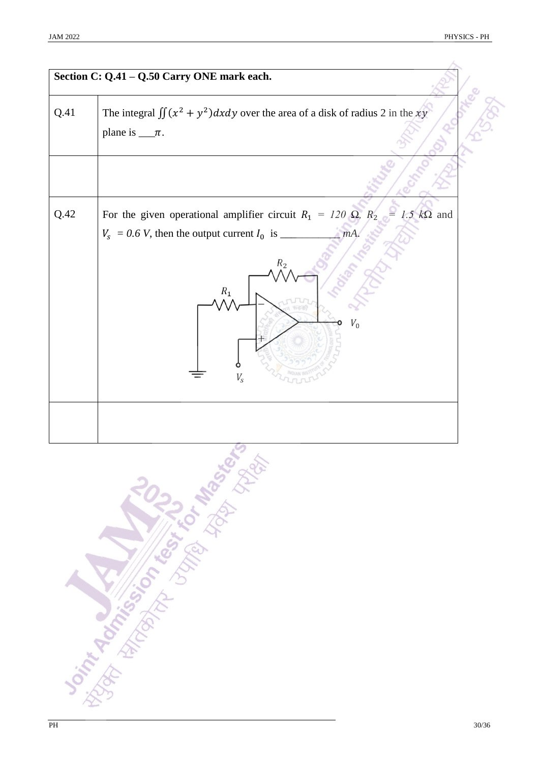|      | Section C: Q.41 - Q.50 Carry ONE mark each.                                                                                                                                               |
|------|-------------------------------------------------------------------------------------------------------------------------------------------------------------------------------------------|
| Q.41 | The integral $\iint (x^2 + y^2) dx dy$ over the area of a disk of radius 2 in the xy<br>plane is $\_\pi$ .                                                                                |
|      |                                                                                                                                                                                           |
| Q.42 | For the given operational amplifier circuit $R_1 = 120 \Omega$ , $R_2 = 1.5 k\Omega$ and<br>$V_s$ = 0.6 V, then the output current $I_0$ is _<br>mA<br>$R_2$<br>$R_1$<br>$V_0$<br>$V_{S}$ |
|      |                                                                                                                                                                                           |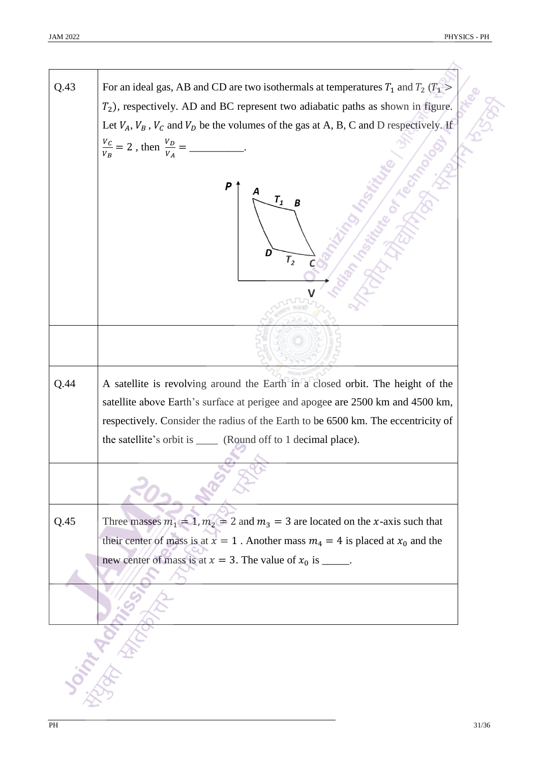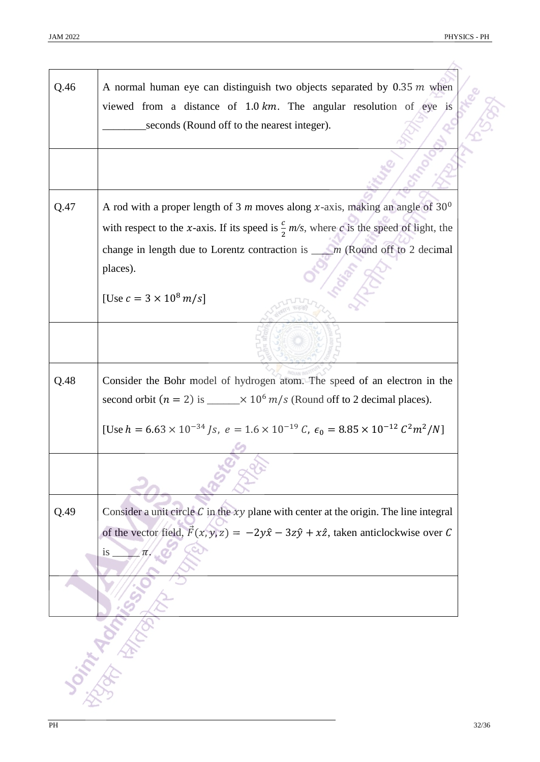| Q.46 | A normal human eye can distinguish two objects separated by $0.35$ m when<br>viewed from a distance of $1.0 \text{ km}$ . The angular resolution of eye is |
|------|------------------------------------------------------------------------------------------------------------------------------------------------------------|
|      | seconds (Round off to the nearest integer).                                                                                                                |
|      |                                                                                                                                                            |
| Q.47 | A rod with a proper length of 3 m moves along x-axis, making an angle of $30^{\circ}$                                                                      |
|      | with respect to the x-axis. If its speed is $\frac{c}{2}$ m/s, where c is the speed of light, the                                                          |
|      | change in length due to Lorentz contraction is $\_\_m$ (Round off to 2 decimal<br>places).                                                                 |
|      | [Use $c = 3 \times 10^8 \, m/s$ ]                                                                                                                          |
|      |                                                                                                                                                            |
| Q.48 | Consider the Bohr model of hydrogen atom. The speed of an electron in the                                                                                  |
|      | second orbit $(n = 2)$ is _____ $\times$ 10 <sup>6</sup> m/s (Round off to 2 decimal places).                                                              |
|      | [Use $h = 6.63 \times 10^{-34}$ Js, $e = 1.6 \times 10^{-19}$ C, $\epsilon_0 = 8.85 \times 10^{-12}$ $C^2 m^2/N$ ]                                         |
|      |                                                                                                                                                            |
| Q.49 | Consider a unit circle $C$ in the $xy$ plane with center at the origin. The line integral                                                                  |
|      | of the vector field, $\vec{F}(x, y, z) = -2y\hat{x} - 3z\hat{y} + x\hat{z}$ , taken anticlockwise over C                                                   |
|      | <i>is</i><br>$\pi$ .                                                                                                                                       |
|      |                                                                                                                                                            |
|      |                                                                                                                                                            |
|      |                                                                                                                                                            |
|      |                                                                                                                                                            |
|      |                                                                                                                                                            |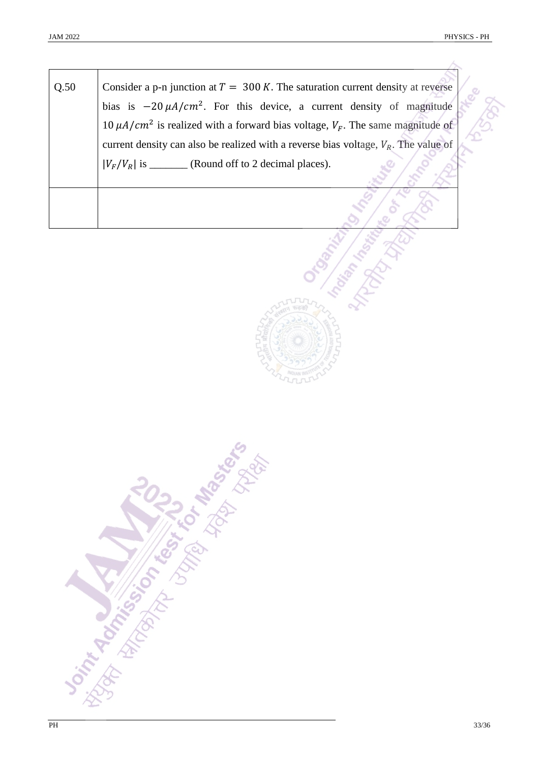Á

| Consider a p-n junction at $T = 300 K$ . The saturation current density at reverse                |
|---------------------------------------------------------------------------------------------------|
| bias is $-20 \mu A/cm^2$ . For this device, a current density of magnitude                        |
| 10 $\mu$ A/cm <sup>2</sup> is realized with a forward bias voltage, $V_F$ . The same magnitude of |
| current density can also be realized with a reverse bias voltage, $V_R$ . The value of            |
| $ V_F/V_R $ is __________ (Round off to 2 decimal places).                                        |
|                                                                                                   |
|                                                                                                   |

**Distribution of the Science of the Manufacture of the Science of the Manufacture of the Science of the Contractor**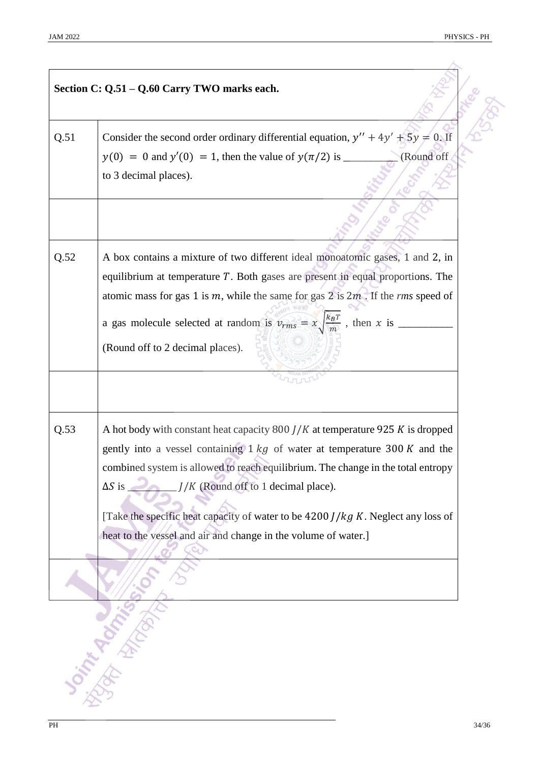|      | Section C: Q.51 - Q.60 Carry TWO marks each.                                                                                                                                                                                                                                                                                                                                                                                                                                                                        |
|------|---------------------------------------------------------------------------------------------------------------------------------------------------------------------------------------------------------------------------------------------------------------------------------------------------------------------------------------------------------------------------------------------------------------------------------------------------------------------------------------------------------------------|
| Q.51 | Consider the second order ordinary differential equation, $y'' + 4y' + 5y = 0$ . If<br>(Round off<br>to 3 decimal places).                                                                                                                                                                                                                                                                                                                                                                                          |
|      |                                                                                                                                                                                                                                                                                                                                                                                                                                                                                                                     |
| Q.52 | A box contains a mixture of two different ideal monoatomic gases, 1 and 2, in<br>equilibrium at temperature $T$ . Both gases are present in equal proportions. The<br>atomic mass for gas 1 is $m$ , while the same for gas 2 is $2m$ . If the <i>rms</i> speed of<br>a gas molecule selected at random is $v_{rms} = x \sqrt{\frac{k_B T}{m}}$ , then x is ___<br>(Round off to 2 decimal places).                                                                                                                 |
| Q.53 | A hot body with constant heat capacity $800$ <i>J/K</i> at temperature 925 <i>K</i> is dropped<br>gently into a vessel containing $1 \, kg$ of water at temperature 300 K and the<br>combined system is allowed to reach equilibrium. The change in the total entropy<br>$J/K$ (Round off to 1 decimal place).<br>$\Delta S$ is $\equiv$<br>[Take the specific heat capacity of water to be $4200$ <i>J</i> / $kg$ <i>K</i> . Neglect any loss of<br>heat to the vessel and air and change in the volume of water.] |
|      |                                                                                                                                                                                                                                                                                                                                                                                                                                                                                                                     |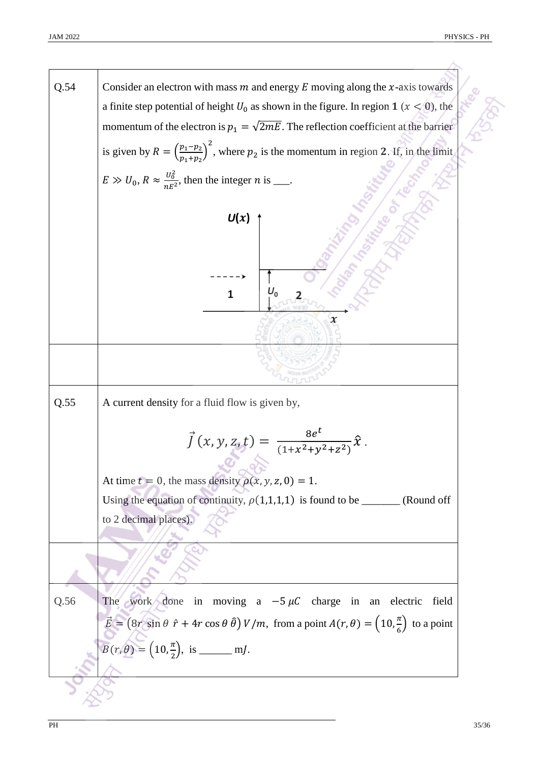